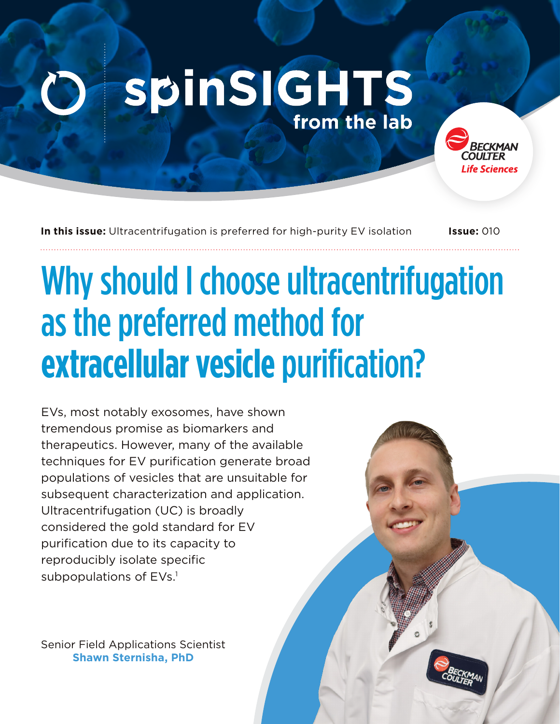## **spinSIGHTS** from the lab

**In this issue:** Ultracentrifugation is preferred for high-purity EV isolation **Issue:** 010

ife Sciences

# Why should I choose ultracentrifugation as the preferred method for **extracellular vesicle** purification?

EVs, most notably exosomes, have shown tremendous promise as biomarkers and therapeutics. However, many of the available techniques for EV purification generate broad populations of vesicles that are unsuitable for subsequent characterization and application. Ultracentrifugation (UC) is broadly considered the gold standard for EV purification due to its capacity to reproducibly isolate specific subpopulations of EVs.<sup>1</sup>

Senior Field Applications Scientist **Shawn Sternisha, PhD**